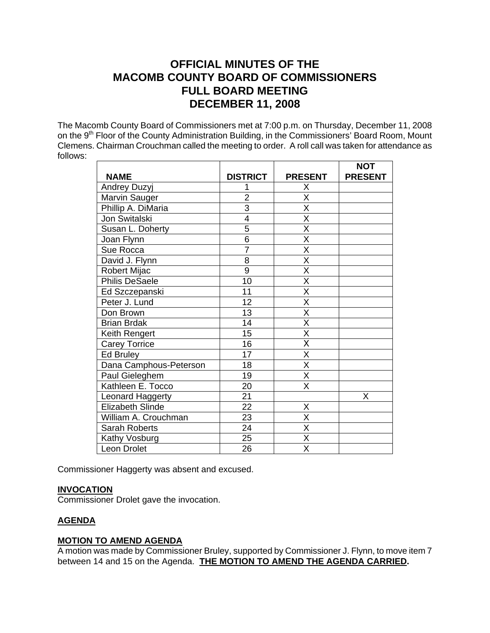# **OFFICIAL MINUTES OF THE MACOMB COUNTY BOARD OF COMMISSIONERS FULL BOARD MEETING DECEMBER 11, 2008**

The Macomb County Board of Commissioners met at 7:00 p.m. on Thursday, December 11, 2008 on the 9<sup>th</sup> Floor of the County Administration Building, in the Commissioners' Board Room, Mount Clemens. Chairman Crouchman called the meeting to order. A roll call was taken for attendance as follows:

|                         |                 |                         | <b>NOT</b>     |
|-------------------------|-----------------|-------------------------|----------------|
| <b>NAME</b>             | <b>DISTRICT</b> | <b>PRESENT</b>          | <b>PRESENT</b> |
| <b>Andrey Duzyj</b>     | 1               | Χ                       |                |
| Marvin Sauger           | $\overline{2}$  | Χ                       |                |
| Phillip A. DiMaria      | $\overline{3}$  | $\overline{\mathsf{x}}$ |                |
| Jon Switalski           | $\overline{4}$  | $\overline{\mathsf{x}}$ |                |
| Susan L. Doherty        | 5               | X                       |                |
| Joan Flynn              | $\overline{6}$  | $\overline{\mathsf{x}}$ |                |
| Sue Rocca               | $\overline{7}$  | $\overline{\mathsf{x}}$ |                |
| David J. Flynn          | 8               | $\overline{\mathsf{x}}$ |                |
| <b>Robert Mijac</b>     | 9               | $\overline{\mathsf{x}}$ |                |
| <b>Philis DeSaele</b>   | 10              | X                       |                |
| Ed Szczepanski          | 11              | $\overline{\mathsf{x}}$ |                |
| Peter J. Lund           | $\overline{12}$ | $\overline{\mathsf{x}}$ |                |
| Don Brown               | 13              | X                       |                |
| <b>Brian Brdak</b>      | 14              | $\overline{\mathsf{x}}$ |                |
| Keith Rengert           | 15              | $\overline{\mathsf{x}}$ |                |
| <b>Carey Torrice</b>    | 16              | X                       |                |
| <b>Ed Bruley</b>        | 17              | X                       |                |
| Dana Camphous-Peterson  | 18              | $\overline{\mathsf{x}}$ |                |
| Paul Gieleghem          | 19              | $\overline{\mathsf{x}}$ |                |
| Kathleen E. Tocco       | 20              | X                       |                |
| Leonard Haggerty        | 21              |                         | X              |
| <b>Elizabeth Slinde</b> | 22              | X                       |                |
| William A. Crouchman    | 23              | $\overline{\mathsf{x}}$ |                |
| Sarah Roberts           | 24              | X                       |                |
| Kathy Vosburg           | 25              | X                       |                |
| Leon Drolet             | 26              | X                       |                |

Commissioner Haggerty was absent and excused.

## **INVOCATION**

Commissioner Drolet gave the invocation.

## **AGENDA**

## **MOTION TO AMEND AGENDA**

A motion was made by Commissioner Bruley, supported by Commissioner J. Flynn, to move item 7 between 14 and 15 on the Agenda. **THE MOTION TO AMEND THE AGENDA CARRIED.**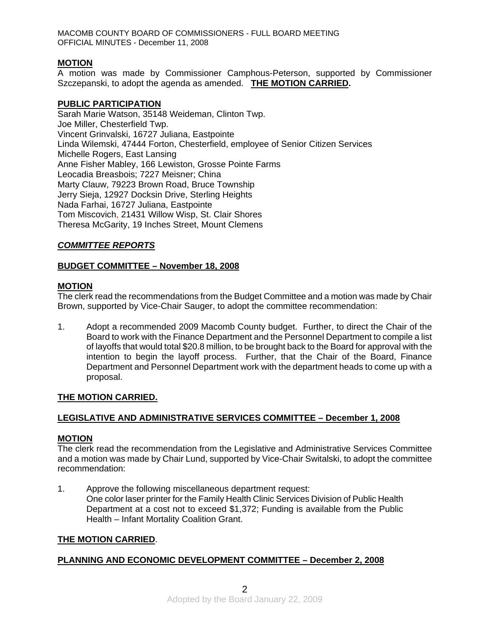## **MOTION**

A motion was made by Commissioner Camphous-Peterson, supported by Commissioner Szczepanski, to adopt the agenda as amended. **THE MOTION CARRIED.** 

#### **PUBLIC PARTICIPATION**

Sarah Marie Watson, 35148 Weideman, Clinton Twp. Joe Miller, Chesterfield Twp. Vincent Grinvalski, 16727 Juliana, Eastpointe Linda Wilemski, 47444 Forton, Chesterfield, employee of Senior Citizen Services Michelle Rogers, East Lansing Anne Fisher Mabley, 166 Lewiston, Grosse Pointe Farms Leocadia Breasbois; 7227 Meisner; China Marty Clauw, 79223 Brown Road, Bruce Township Jerry Sieja, 12927 Docksin Drive, Sterling Heights Nada Farhai, 16727 Juliana, Eastpointe Tom Miscovich, 21431 Willow Wisp, St. Clair Shores Theresa McGarity, 19 Inches Street, Mount Clemens

## *COMMITTEE REPORTS*

## **BUDGET COMMITTEE – November 18, 2008**

#### **MOTION**

The clerk read the recommendations from the Budget Committee and a motion was made by Chair Brown, supported by Vice-Chair Sauger, to adopt the committee recommendation:

1. Adopt a recommended 2009 Macomb County budget. Further, to direct the Chair of the Board to work with the Finance Department and the Personnel Department to compile a list of layoffs that would total \$20.8 million, to be brought back to the Board for approval with the intention to begin the layoff process. Further, that the Chair of the Board, Finance Department and Personnel Department work with the department heads to come up with a proposal.

#### **THE MOTION CARRIED.**

## **LEGISLATIVE AND ADMINISTRATIVE SERVICES COMMITTEE – December 1, 2008**

#### **MOTION**

The clerk read the recommendation from the Legislative and Administrative Services Committee and a motion was made by Chair Lund, supported by Vice-Chair Switalski, to adopt the committee recommendation:

1. Approve the following miscellaneous department request: One color laser printer for the Family Health Clinic Services Division of Public Health Department at a cost not to exceed \$1,372; Funding is available from the Public Health – Infant Mortality Coalition Grant.

#### **THE MOTION CARRIED**.

## **PLANNING AND ECONOMIC DEVELOPMENT COMMITTEE – December 2, 2008**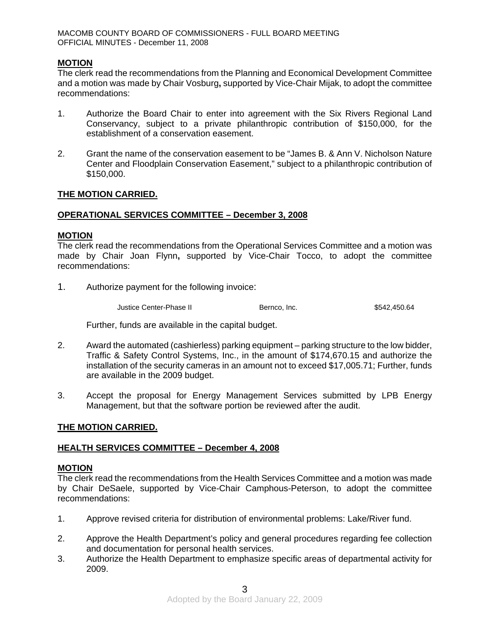## **MOTION**

The clerk read the recommendations from the Planning and Economical Development Committee and a motion was made by Chair Vosburg**,** supported by Vice-Chair Mijak, to adopt the committee recommendations:

- 1. Authorize the Board Chair to enter into agreement with the Six Rivers Regional Land Conservancy, subject to a private philanthropic contribution of \$150,000, for the establishment of a conservation easement.
- 2. Grant the name of the conservation easement to be "James B. & Ann V. Nicholson Nature Center and Floodplain Conservation Easement," subject to a philanthropic contribution of \$150,000.

## **THE MOTION CARRIED.**

## **OPERATIONAL SERVICES COMMITTEE – December 3, 2008**

#### **MOTION**

The clerk read the recommendations from the Operational Services Committee and a motion was made by Chair Joan Flynn**,** supported by Vice-Chair Tocco, to adopt the committee recommendations:

1. Authorize payment for the following invoice:

Justice Center-Phase II Bernco, Inc. 6542,450.64

Further, funds are available in the capital budget.

- 2. Award the automated (cashierless) parking equipment parking structure to the low bidder, Traffic & Safety Control Systems, Inc., in the amount of \$174,670.15 and authorize the installation of the security cameras in an amount not to exceed \$17,005.71; Further, funds are available in the 2009 budget.
- 3. Accept the proposal for Energy Management Services submitted by LPB Energy Management, but that the software portion be reviewed after the audit.

#### **THE MOTION CARRIED.**

#### **HEALTH SERVICES COMMITTEE – December 4, 2008**

## **MOTION**

The clerk read the recommendations from the Health Services Committee and a motion was made by Chair DeSaele, supported by Vice-Chair Camphous-Peterson, to adopt the committee recommendations:

- 1. Approve revised criteria for distribution of environmental problems: Lake/River fund.
- 2. Approve the Health Department's policy and general procedures regarding fee collection and documentation for personal health services.
- 3. Authorize the Health Department to emphasize specific areas of departmental activity for 2009.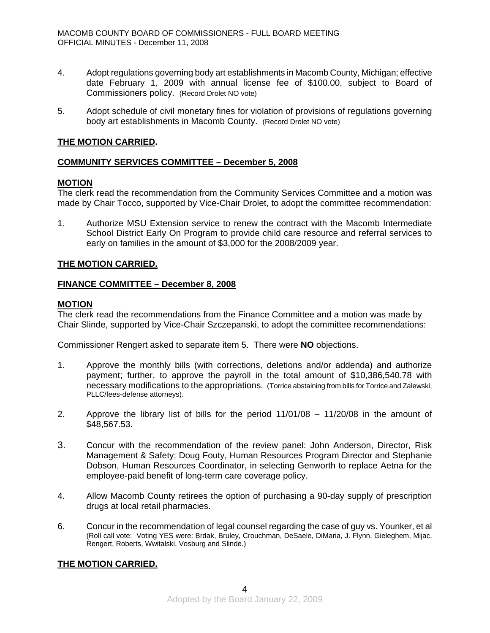- 4. Adopt regulations governing body art establishments in Macomb County, Michigan; effective date February 1, 2009 with annual license fee of \$100.00, subject to Board of Commissioners policy. (Record Drolet NO vote)
- 5. Adopt schedule of civil monetary fines for violation of provisions of regulations governing body art establishments in Macomb County. (Record Drolet NO vote)

## **THE MOTION CARRIED.**

## **COMMUNITY SERVICES COMMITTEE – December 5, 2008**

## **MOTION**

The clerk read the recommendation from the Community Services Committee and a motion was made by Chair Tocco, supported by Vice-Chair Drolet, to adopt the committee recommendation:

1. Authorize MSU Extension service to renew the contract with the Macomb Intermediate School District Early On Program to provide child care resource and referral services to early on families in the amount of \$3,000 for the 2008/2009 year.

## **THE MOTION CARRIED.**

#### **FINANCE COMMITTEE – December 8, 2008**

#### **MOTION**

The clerk read the recommendations from the Finance Committee and a motion was made by Chair Slinde, supported by Vice-Chair Szczepanski, to adopt the committee recommendations:

Commissioner Rengert asked to separate item 5. There were **NO** objections.

- 1. Approve the monthly bills (with corrections, deletions and/or addenda) and authorize payment; further, to approve the payroll in the total amount of \$10,386,540.78 with necessary modifications to the appropriations. (Torrice abstaining from bills for Torrice and Zalewski, PLLC/fees-defense attorneys).
- 2. Approve the library list of bills for the period 11/01/08 11/20/08 in the amount of \$48,567.53.
- 3. Concur with the recommendation of the review panel: John Anderson, Director, Risk Management & Safety; Doug Fouty, Human Resources Program Director and Stephanie Dobson, Human Resources Coordinator, in selecting Genworth to replace Aetna for the employee-paid benefit of long-term care coverage policy.
- 4. Allow Macomb County retirees the option of purchasing a 90-day supply of prescription drugs at local retail pharmacies.
- 6. Concur in the recommendation of legal counsel regarding the case of guy vs. Younker, et al (Roll call vote: Voting YES were: Brdak, Bruley, Crouchman, DeSaele, DiMaria, J. Flynn, Gieleghem, Mijac, Rengert, Roberts, Wwitalski, Vosburg and Slinde.)

## **THE MOTION CARRIED.**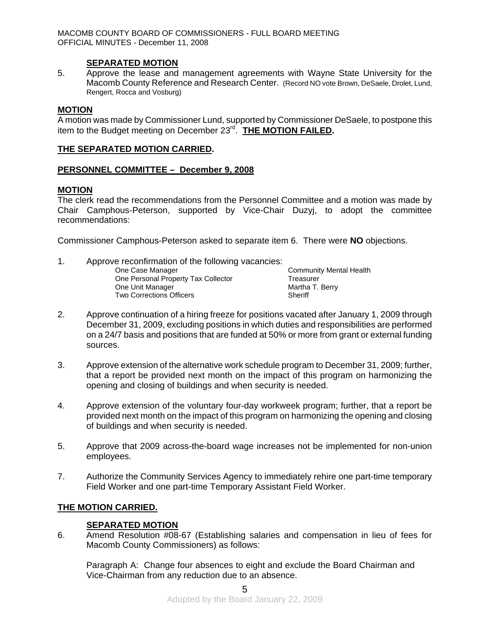## **SEPARATED MOTION**

5. Approve the lease and management agreements with Wayne State University for the Macomb County Reference and Research Center. (Record NO vote Brown, DeSaele, Drolet, Lund, Rengert, Rocca and Vosburg)

### **MOTION**

A motion was made by Commissioner Lund, supported by Commissioner DeSaele, to postpone this item to the Budget meeting on December 23rd. **THE MOTION FAILED.** 

## **THE SEPARATED MOTION CARRIED.**

## **PERSONNEL COMMITTEE – December 9, 2008**

## **MOTION**

The clerk read the recommendations from the Personnel Committee and a motion was made by Chair Camphous-Peterson, supported by Vice-Chair Duzyj, to adopt the committee recommendations:

Commissioner Camphous-Peterson asked to separate item 6. There were **NO** objections.

| One Case Manager                    | <b>Community Mental Health</b>                     |
|-------------------------------------|----------------------------------------------------|
| One Personal Property Tax Collector | Treasurer                                          |
| One Unit Manager                    | Martha T. Berry                                    |
| <b>Two Corrections Officers</b>     | Sheriff                                            |
|                                     | Approve reconfirmation of the following vacancies: |

- 2. Approve continuation of a hiring freeze for positions vacated after January 1, 2009 through December 31, 2009, excluding positions in which duties and responsibilities are performed on a 24/7 basis and positions that are funded at 50% or more from grant or external funding sources.
- 3. Approve extension of the alternative work schedule program to December 31, 2009; further, that a report be provided next month on the impact of this program on harmonizing the opening and closing of buildings and when security is needed.
- 4. Approve extension of the voluntary four-day workweek program; further, that a report be provided next month on the impact of this program on harmonizing the opening and closing of buildings and when security is needed.
- 5. Approve that 2009 across-the-board wage increases not be implemented for non-union employees.
- 7. Authorize the Community Services Agency to immediately rehire one part-time temporary Field Worker and one part-time Temporary Assistant Field Worker.

## **THE MOTION CARRIED.**

#### **SEPARATED MOTION**

6. Amend Resolution #08-67 (Establishing salaries and compensation in lieu of fees for Macomb County Commissioners) as follows:

Paragraph A: Change four absences to eight and exclude the Board Chairman and Vice-Chairman from any reduction due to an absence.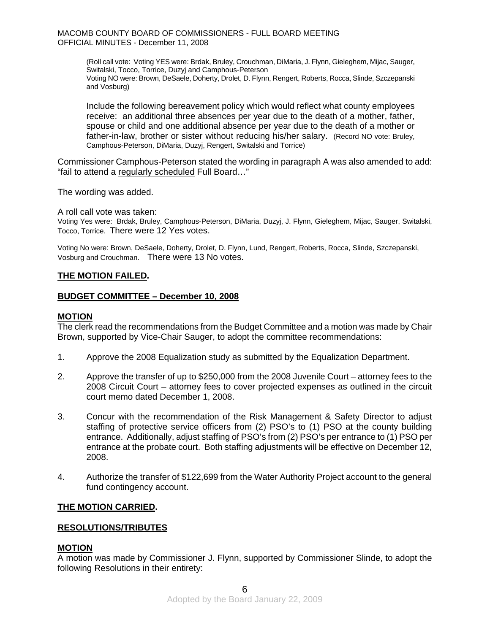> (Roll call vote: Voting YES were: Brdak, Bruley, Crouchman, DiMaria, J. Flynn, Gieleghem, Mijac, Sauger, Switalski, Tocco, Torrice, Duzyj and Camphous-Peterson Voting NO were: Brown, DeSaele, Doherty, Drolet, D. Flynn, Rengert, Roberts, Rocca, Slinde, Szczepanski and Vosburg)

> Include the following bereavement policy which would reflect what county employees receive: an additional three absences per year due to the death of a mother, father, spouse or child and one additional absence per year due to the death of a mother or father-in-law, brother or sister without reducing his/her salary. (Record NO vote: Bruley, Camphous-Peterson, DiMaria, Duzyj, Rengert, Switalski and Torrice)

Commissioner Camphous-Peterson stated the wording in paragraph A was also amended to add: "fail to attend a regularly scheduled Full Board…"

The wording was added.

A roll call vote was taken:

Voting Yes were: Brdak, Bruley, Camphous-Peterson, DiMaria, Duzyj, J. Flynn, Gieleghem, Mijac, Sauger, Switalski, Tocco, Torrice. There were 12 Yes votes.

Voting No were: Brown, DeSaele, Doherty, Drolet, D. Flynn, Lund, Rengert, Roberts, Rocca, Slinde, Szczepanski, Vosburg and Crouchman. There were 13 No votes.

#### **THE MOTION FAILED.**

#### **BUDGET COMMITTEE – December 10, 2008**

#### **MOTION**

The clerk read the recommendations from the Budget Committee and a motion was made by Chair Brown, supported by Vice-Chair Sauger, to adopt the committee recommendations:

- 1. Approve the 2008 Equalization study as submitted by the Equalization Department.
- 2. Approve the transfer of up to \$250,000 from the 2008 Juvenile Court attorney fees to the 2008 Circuit Court – attorney fees to cover projected expenses as outlined in the circuit court memo dated December 1, 2008.
- 3. Concur with the recommendation of the Risk Management & Safety Director to adjust staffing of protective service officers from (2) PSO's to (1) PSO at the county building entrance. Additionally, adjust staffing of PSO's from (2) PSO's per entrance to (1) PSO per entrance at the probate court. Both staffing adjustments will be effective on December 12, 2008.
- 4. Authorize the transfer of \$122,699 from the Water Authority Project account to the general fund contingency account.

#### **THE MOTION CARRIED.**

#### **RESOLUTIONS/TRIBUTES**

#### **MOTION**

A motion was made by Commissioner J. Flynn, supported by Commissioner Slinde, to adopt the following Resolutions in their entirety: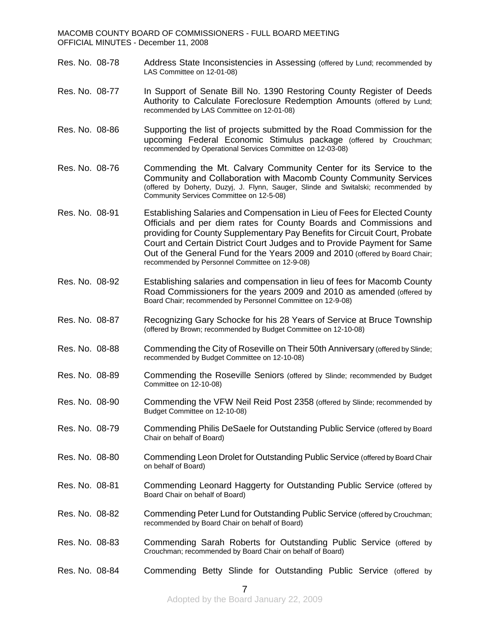- Res. No. 08-78 Address State Inconsistencies in Assessing (offered by Lund; recommended by LAS Committee on 12-01-08)
- Res. No. 08-77 In Support of Senate Bill No. 1390 Restoring County Register of Deeds Authority to Calculate Foreclosure Redemption Amounts (offered by Lund; recommended by LAS Committee on 12-01-08)
- Res. No. 08-86 Supporting the list of projects submitted by the Road Commission for the upcoming Federal Economic Stimulus package (offered by Crouchman; recommended by Operational Services Committee on 12-03-08)
- Res. No. 08-76 Commending the Mt. Calvary Community Center for its Service to the Community and Collaboration with Macomb County Community Services (offered by Doherty, Duzyj, J. Flynn, Sauger, Slinde and Switalski; recommended by Community Services Committee on 12-5-08)
- Res. No. 08-91 Establishing Salaries and Compensation in Lieu of Fees for Elected County Officials and per diem rates for County Boards and Commissions and providing for County Supplementary Pay Benefits for Circuit Court, Probate Court and Certain District Court Judges and to Provide Payment for Same Out of the General Fund for the Years 2009 and 2010 (offered by Board Chair; recommended by Personnel Committee on 12-9-08)
- Res. No. 08-92 Establishing salaries and compensation in lieu of fees for Macomb County Road Commissioners for the years 2009 and 2010 as amended (offered by Board Chair; recommended by Personnel Committee on 12-9-08)
- Res. No. 08-87 Recognizing Gary Schocke for his 28 Years of Service at Bruce Township (offered by Brown; recommended by Budget Committee on 12-10-08)
- Res. No. 08-88 Commending the City of Roseville on Their 50th Anniversary (offered by Slinde; recommended by Budget Committee on 12-10-08)
- Res. No. 08-89 Commending the Roseville Seniors (offered by Slinde; recommended by Budget Committee on 12-10-08)
- Res. No. 08-90 Commending the VFW Neil Reid Post 2358 (offered by Slinde; recommended by Budget Committee on 12-10-08)
- Res. No. 08-79 Commending Philis DeSaele for Outstanding Public Service (offered by Board Chair on behalf of Board)
- Res. No. 08-80 Commending Leon Drolet for Outstanding Public Service (offered by Board Chair on behalf of Board)
- Res. No. 08-81 Commending Leonard Haggerty for Outstanding Public Service (offered by Board Chair on behalf of Board)
- Res. No. 08-82 Commending Peter Lund for Outstanding Public Service (offered by Crouchman; recommended by Board Chair on behalf of Board)
- Res. No. 08-83 Commending Sarah Roberts for Outstanding Public Service (offered by Crouchman; recommended by Board Chair on behalf of Board)
- Res. No. 08-84 Commending Betty Slinde for Outstanding Public Service (offered by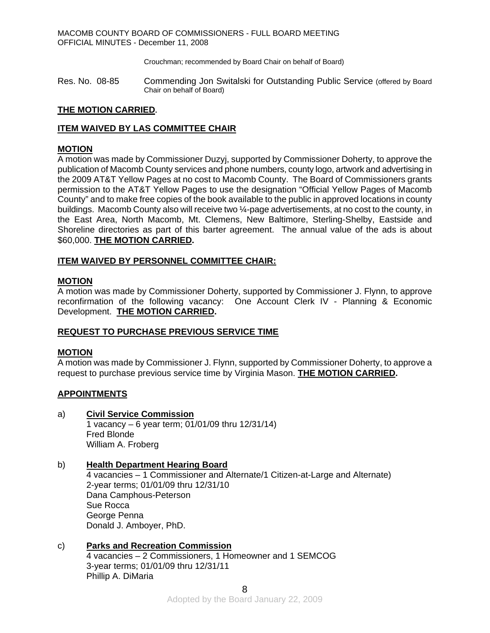Crouchman; recommended by Board Chair on behalf of Board)

Res. No. 08-85 Commending Jon Switalski for Outstanding Public Service (offered by Board Chair on behalf of Board)

## **THE MOTION CARRIED.**

## **ITEM WAIVED BY LAS COMMITTEE CHAIR**

## **MOTION**

A motion was made by Commissioner Duzyj, supported by Commissioner Doherty, to approve the publication of Macomb County services and phone numbers, county logo, artwork and advertising in the 2009 AT&T Yellow Pages at no cost to Macomb County. The Board of Commissioners grants permission to the AT&T Yellow Pages to use the designation "Official Yellow Pages of Macomb County" and to make free copies of the book available to the public in approved locations in county buildings. Macomb County also will receive two ¼-page advertisements, at no cost to the county, in the East Area, North Macomb, Mt. Clemens, New Baltimore, Sterling-Shelby, Eastside and Shoreline directories as part of this barter agreement. The annual value of the ads is about \$60,000. **THE MOTION CARRIED.** 

## **ITEM WAIVED BY PERSONNEL COMMITTEE CHAIR:**

## **MOTION**

A motion was made by Commissioner Doherty, supported by Commissioner J. Flynn, to approve reconfirmation of the following vacancy: One Account Clerk IV - Planning & Economic Development. **THE MOTION CARRIED.** 

## **REQUEST TO PURCHASE PREVIOUS SERVICE TIME**

#### **MOTION**

A motion was made by Commissioner J. Flynn, supported by Commissioner Doherty, to approve a request to purchase previous service time by Virginia Mason. **THE MOTION CARRIED.** 

## **APPOINTMENTS**

a) **Civil Service Commission** 

1 vacancy – 6 year term; 01/01/09 thru 12/31/14) Fred Blonde William A. Froberg

## b) **Health Department Hearing Board**

4 vacancies – 1 Commissioner and Alternate/1 Citizen-at-Large and Alternate) 2-year terms; 01/01/09 thru 12/31/10 Dana Camphous-Peterson Sue Rocca George Penna Donald J. Amboyer, PhD.

## c) **Parks and Recreation Commission**

4 vacancies – 2 Commissioners, 1 Homeowner and 1 SEMCOG 3-year terms; 01/01/09 thru 12/31/11 Phillip A. DiMaria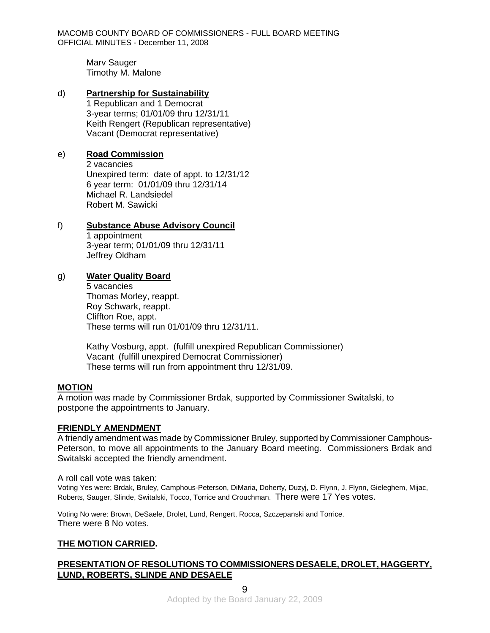Marv Sauger Timothy M. Malone

## d) **Partnership for Sustainability**

1 Republican and 1 Democrat 3-year terms; 01/01/09 thru 12/31/11 Keith Rengert (Republican representative) Vacant (Democrat representative)

## e) **Road Commission**

2 vacancies Unexpired term: date of appt. to 12/31/12 6 year term: 01/01/09 thru 12/31/14 Michael R. Landsiedel Robert M. Sawicki

## f) **Substance Abuse Advisory Council**

1 appointment 3-year term; 01/01/09 thru 12/31/11 Jeffrey Oldham

## g) **Water Quality Board**

5 vacancies Thomas Morley, reappt. Roy Schwark, reappt. Cliffton Roe, appt. These terms will run 01/01/09 thru 12/31/11.

 Kathy Vosburg, appt. (fulfill unexpired Republican Commissioner) Vacant (fulfill unexpired Democrat Commissioner) These terms will run from appointment thru 12/31/09.

## **MOTION**

A motion was made by Commissioner Brdak, supported by Commissioner Switalski, to postpone the appointments to January.

## **FRIENDLY AMENDMENT**

A friendly amendment was made by Commissioner Bruley, supported by Commissioner Camphous-Peterson, to move all appointments to the January Board meeting. Commissioners Brdak and Switalski accepted the friendly amendment.

A roll call vote was taken:

Voting Yes were: Brdak, Bruley, Camphous-Peterson, DiMaria, Doherty, Duzyj, D. Flynn, J. Flynn, Gieleghem, Mijac, Roberts, Sauger, Slinde, Switalski, Tocco, Torrice and Crouchman. There were 17 Yes votes.

Voting No were: Brown, DeSaele, Drolet, Lund, Rengert, Rocca, Szczepanski and Torrice. There were 8 No votes.

## **THE MOTION CARRIED.**

## **PRESENTATION OF RESOLUTIONS TO COMMISSIONERS DESAELE, DROLET, HAGGERTY, LUND, ROBERTS, SLINDE AND DESAELE**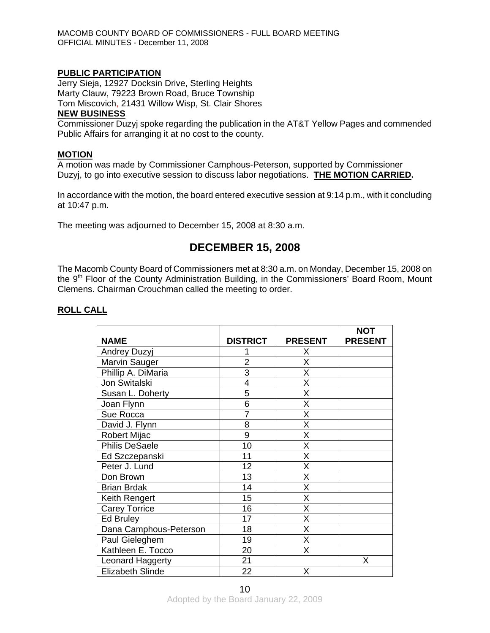#### **PUBLIC PARTICIPATION**

Jerry Sieja, 12927 Docksin Drive, Sterling Heights Marty Clauw, 79223 Brown Road, Bruce Township Tom Miscovich, 21431 Willow Wisp, St. Clair Shores

## **NEW BUSINESS**

Commissioner Duzyj spoke regarding the publication in the AT&T Yellow Pages and commended Public Affairs for arranging it at no cost to the county.

#### **MOTION**

A motion was made by Commissioner Camphous-Peterson, supported by Commissioner Duzyj, to go into executive session to discuss labor negotiations. **THE MOTION CARRIED.** 

In accordance with the motion, the board entered executive session at 9:14 p.m., with it concluding at 10:47 p.m.

The meeting was adjourned to December 15, 2008 at 8:30 a.m.

# **DECEMBER 15, 2008**

The Macomb County Board of Commissioners met at 8:30 a.m. on Monday, December 15, 2008 on the  $9<sup>th</sup>$  Floor of the County Administration Building, in the Commissioners' Board Room, Mount Clemens. Chairman Crouchman called the meeting to order.

| <b>NAME</b>             | <b>DISTRICT</b> | <b>PRESENT</b> | <b>NOT</b><br><b>PRESENT</b> |
|-------------------------|-----------------|----------------|------------------------------|
| Andrey Duzyj            |                 | X.             |                              |
| Marvin Sauger           | $\overline{2}$  | X              |                              |
| Phillip A. DiMaria      | 3               | Χ              |                              |
| Jon Switalski           | 4               | X              |                              |
| Susan L. Doherty        | 5               | X              |                              |
| Joan Flynn              | $\overline{6}$  | X              |                              |
| Sue Rocca               | $\overline{7}$  | Χ              |                              |
| David J. Flynn          | 8               | Χ              |                              |
| Robert Mijac            | $\overline{9}$  | Χ              |                              |
| <b>Philis DeSaele</b>   | 10              | Χ              |                              |
| Ed Szczepanski          | 11              | X              |                              |
| Peter J. Lund           | 12              | Χ              |                              |
| Don Brown               | 13              | Χ              |                              |
| <b>Brian Brdak</b>      | 14              | Χ              |                              |
| Keith Rengert           | 15              | X              |                              |
| <b>Carey Torrice</b>    | 16              | X              |                              |
| <b>Ed Bruley</b>        | 17              | X              |                              |
| Dana Camphous-Peterson  | 18              | X              |                              |
| Paul Gieleghem          | 19              | X              |                              |
| Kathleen E. Tocco       | 20              | Χ              |                              |
| Leonard Haggerty        | 21              |                | Χ                            |
| <b>Elizabeth Slinde</b> | 22              | X              |                              |

## **ROLL CALL**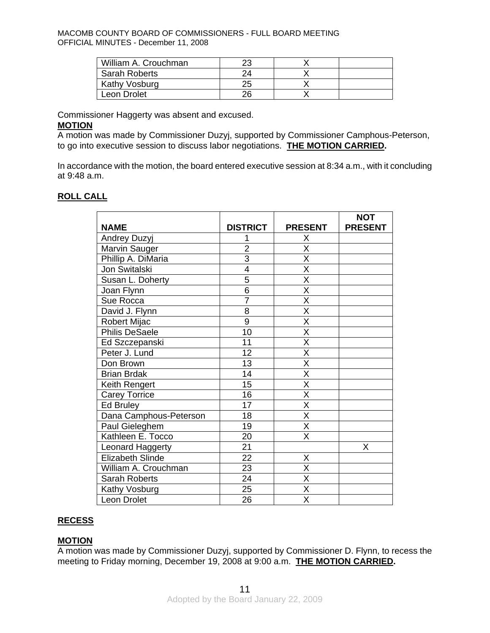| William A. Crouchman |    |  |
|----------------------|----|--|
| <b>Sarah Roberts</b> |    |  |
| Kathy Vosburg        | 25 |  |
| Leon Drolet          | 26 |  |

Commissioner Haggerty was absent and excused.

#### **MOTION**

A motion was made by Commissioner Duzyj, supported by Commissioner Camphous-Peterson, to go into executive session to discuss labor negotiations. **THE MOTION CARRIED.** 

In accordance with the motion, the board entered executive session at 8:34 a.m., with it concluding at 9:48 a.m.

## **ROLL CALL**

|                        |                 |                         | <b>NOT</b>     |
|------------------------|-----------------|-------------------------|----------------|
| <b>NAME</b>            | <b>DISTRICT</b> | <b>PRESENT</b>          | <b>PRESENT</b> |
| Andrey Duzyj           | 1               | Χ                       |                |
| Marvin Sauger          | $\overline{2}$  | X                       |                |
| Phillip A. DiMaria     | 3               | $\overline{\mathsf{x}}$ |                |
| Jon Switalski          | 4               | X                       |                |
| Susan L. Doherty       | 5               | X                       |                |
| Joan Flynn             | 6               | $\overline{\mathsf{x}}$ |                |
| Sue Rocca              | $\overline{7}$  | $\overline{\mathsf{x}}$ |                |
| David J. Flynn         | 8               | $\overline{\mathsf{x}}$ |                |
| Robert Mijac           | $\overline{9}$  | $\overline{\sf x}$      |                |
| <b>Philis DeSaele</b>  | 10              | X                       |                |
| Ed Szczepanski         | 11              | X                       |                |
| Peter J. Lund          | 12              | $\overline{\mathsf{x}}$ |                |
| Don Brown              | 13              | $\overline{\mathsf{x}}$ |                |
| <b>Brian Brdak</b>     | 14              | X                       |                |
| Keith Rengert          | 15              | $\overline{\mathsf{x}}$ |                |
| <b>Carey Torrice</b>   | 16              | $\overline{\mathsf{x}}$ |                |
| Ed Bruley              | 17              | $\overline{\mathsf{x}}$ |                |
| Dana Camphous-Peterson | 18              | $\overline{\mathsf{x}}$ |                |
| Paul Gieleghem         | 19              | X                       |                |
| Kathleen E. Tocco      | 20              | X                       |                |
| Leonard Haggerty       | 21              |                         | X              |
| Elizabeth Slinde       | 22              | X                       |                |
| William A. Crouchman   | 23              | $\overline{\mathsf{x}}$ |                |
| <b>Sarah Roberts</b>   | 24              | $\overline{\mathsf{x}}$ |                |
| Kathy Vosburg          | 25              | $\overline{\mathsf{x}}$ |                |
| Leon Drolet            | 26              | X                       |                |

## **RECESS**

## **MOTION**

A motion was made by Commissioner Duzyj, supported by Commissioner D. Flynn, to recess the meeting to Friday morning, December 19, 2008 at 9:00 a.m. **THE MOTION CARRIED.**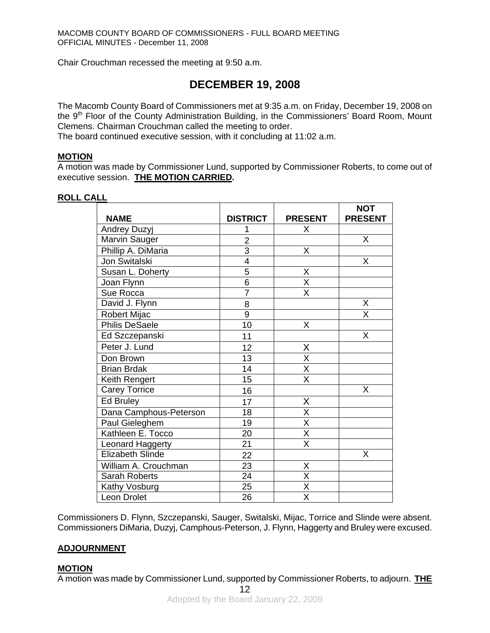Chair Crouchman recessed the meeting at 9:50 a.m.

# **DECEMBER 19, 2008**

The Macomb County Board of Commissioners met at 9:35 a.m. on Friday, December 19, 2008 on the 9<sup>th</sup> Floor of the County Administration Building, in the Commissioners' Board Room, Mount Clemens. Chairman Crouchman called the meeting to order.

The board continued executive session, with it concluding at 11:02 a.m.

#### **MOTION**

A motion was made by Commissioner Lund, supported by Commissioner Roberts, to come out of executive session. **THE MOTION CARRIED.** 

#### **ROLL CALL**

|                         |                 |                         | <b>NOT</b>     |
|-------------------------|-----------------|-------------------------|----------------|
| <b>NAME</b>             | <b>DISTRICT</b> | <b>PRESENT</b>          | <b>PRESENT</b> |
| Andrey Duzyj            | 1               | X                       |                |
| Marvin Sauger           | $\overline{2}$  |                         | X              |
| Phillip A. DiMaria      | $\overline{3}$  | Χ                       |                |
| Jon Switalski           | $\overline{4}$  |                         | Χ              |
| Susan L. Doherty        | $\overline{5}$  | X                       |                |
| Joan Flynn              | $\overline{6}$  | $\overline{\mathsf{X}}$ |                |
| Sue Rocca               | $\overline{7}$  | $\overline{\mathsf{x}}$ |                |
| David J. Flynn          | 8               |                         | X              |
| Robert Mijac            | 9               |                         | X              |
| Philis DeSaele          | 10              | X                       |                |
| Ed Szczepanski          | 11              |                         | X              |
| Peter J. Lund           | 12              | Χ                       |                |
| Don Brown               | 13              | $\overline{\mathsf{x}}$ |                |
| <b>Brian Brdak</b>      | 14              | $\overline{\mathsf{x}}$ |                |
| Keith Rengert           | 15              | $\overline{\mathsf{x}}$ |                |
| <b>Carey Torrice</b>    | 16              |                         | X              |
| <b>Ed Bruley</b>        | 17              | X                       |                |
| Dana Camphous-Peterson  | 18              | $\overline{\mathsf{x}}$ |                |
| Paul Gieleghem          | 19              | $\overline{\mathsf{x}}$ |                |
| Kathleen E. Tocco       | 20              | $\overline{\mathsf{x}}$ |                |
| Leonard Haggerty        | $\overline{21}$ | $\overline{\mathsf{x}}$ |                |
| <b>Elizabeth Slinde</b> | 22              |                         | X              |
| William A. Crouchman    | 23              | Χ                       |                |
| Sarah Roberts           | 24              | $\overline{\mathsf{x}}$ |                |
| Kathy Vosburg           | 25              | $\overline{\mathsf{x}}$ |                |
| Leon Drolet             | 26              | $\overline{\mathsf{x}}$ |                |

Commissioners D. Flynn, Szczepanski, Sauger, Switalski, Mijac, Torrice and Slinde were absent. Commissioners DiMaria, Duzyj, Camphous-Peterson, J. Flynn, Haggerty and Bruley were excused.

#### **ADJOURNMENT**

#### **MOTION**

A motion was made by Commissioner Lund, supported by Commissioner Roberts, to adjourn. **THE**